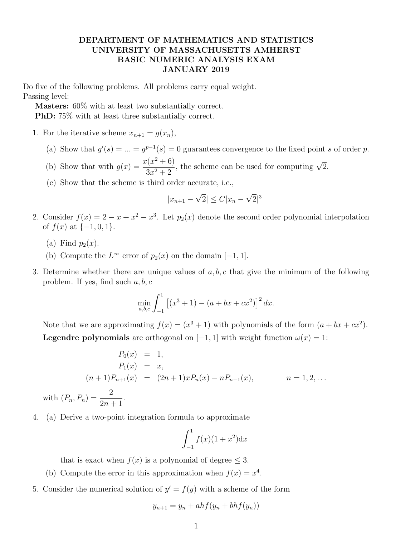## DEPARTMENT OF MATHEMATICS AND STATISTICS UNIVERSITY OF MASSACHUSETTS AMHERST BASIC NUMERIC ANALYSIS EXAM JANUARY 2019

Do five of the following problems. All problems carry equal weight. Passing level:

Masters: 60% with at least two substantially correct.

PhD: 75% with at least three substantially correct.

- 1. For the iterative scheme  $x_{n+1} = g(x_n)$ ,
	- (a) Show that  $g'(s) = ... = g^{p-1}(s) = 0$  guarantees convergence to the fixed point s of order p.
	- (b) Show that with  $g(x) = \frac{x(x^2 + 6)}{2x+6}$  $3x^2 + 2$ %, the scheme can be used for computing  $\sqrt{2}$ .
	- (c) Show that the scheme is third order accurate, i.e.,

$$
|x_{n+1} - \sqrt{2}| \le C |x_n - \sqrt{2}|^3
$$

- 2. Consider  $f(x) = 2 x + x^2 x^3$ . Let  $p_2(x)$  denote the second order polynomial interpolation of  $f(x)$  at  $\{-1,0,1\}$ .
	- (a) Find  $p_2(x)$ .
	- (b) Compute the  $L^{\infty}$  error of  $p_2(x)$  on the domain  $[-1, 1]$ .
- 3. Determine whether there are unique values of  $a, b, c$  that give the minimum of the following problem. If yes, find such  $a, b, c$

$$
\min_{a,b,c} \int_{-1}^{1} \left[ (x^3 + 1) - (a + bx + cx^2) \right]^2 dx.
$$

Note that we are approximating  $f(x) = (x^3 + 1)$  with polynomials of the form  $(a + bx + cx^2)$ . **Legendre polynomials** are orthogonal on [−1, 1] with weight function  $\omega(x) = 1$ :

$$
P_0(x) = 1,
$$
  
\n
$$
P_1(x) = x,
$$
  
\n
$$
(n+1)P_{n+1}(x) = (2n+1)xP_n(x) - nP_{n-1}(x),
$$
  
\n
$$
n = 1, 2, ...
$$

with  $(P_n, P_n) = \frac{2}{2n+1}$ .

4. (a) Derive a two-point integration formula to approximate

$$
\int_{-1}^{1} f(x)(1+x^2) \mathrm{d}x
$$

that is exact when  $f(x)$  is a polynomial of degree  $\leq 3$ .

- (b) Compute the error in this approximation when  $f(x) = x^4$ .
- 5. Consider the numerical solution of  $y' = f(y)$  with a scheme of the form

$$
y_{n+1} = y_n + ahf(y_n + bhf(y_n))
$$